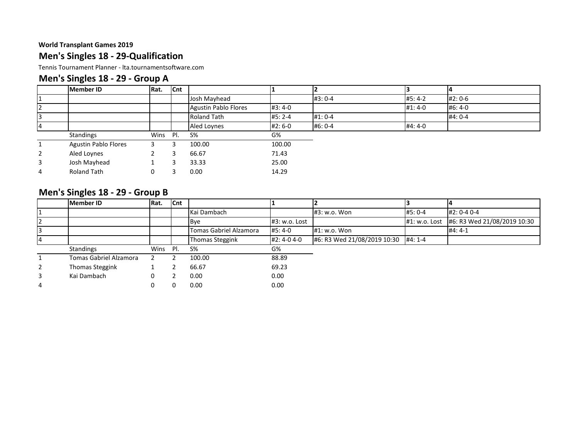### **Men's Singles 18 - 29-Qualification**

Tennis Tournament Planner - lta.tournamentsoftware.com

### **Men's Singles 18 - 29 - Group A**

|                | Member ID                   | Rat.     | <b>Cnt</b> |                      |          |           |          |         |
|----------------|-----------------------------|----------|------------|----------------------|----------|-----------|----------|---------|
|                |                             |          |            | Josh Mayhead         |          | #3: 0-4   | #5:4-2   | #2:0-6  |
| 2              |                             |          |            | Agustin Pablo Flores | $#3:4-0$ |           | $#1:4-0$ | #6:4-0  |
| 3              |                             |          |            | <b>Roland Tath</b>   | $#5:2-4$ | $#1: 0-4$ |          | #4: 0-4 |
| 14             |                             |          |            | <b>Aled Loynes</b>   | #2:6-0   | #6: 0-4   | #4:4-0   |         |
|                | Standings                   | Wins Pl. |            | $S\%$                | G%       |           |          |         |
|                | <b>Agustin Pablo Flores</b> |          |            | 100.00               | 100.00   |           |          |         |
| $\overline{2}$ | Aled Loynes                 |          |            | 66.67                | 71.43    |           |          |         |
| 3              | Josh Mayhead                |          |            | 33.33                | 25.00    |           |          |         |
| 4              | <b>Roland Tath</b>          | 0        |            | 0.00                 | 14.29    |           |          |         |

### **Men's Singles 18 - 29 - Group B**

|                | <b>Member ID</b>              | Rat. | <b>Cnt</b> |                        |               |                             |               |                             |
|----------------|-------------------------------|------|------------|------------------------|---------------|-----------------------------|---------------|-----------------------------|
|                |                               |      |            | Kai Dambach            |               | #3: w.o. Won                | #5: 0-4       | #2: 0-4 0-4                 |
| <b>2</b>       |                               |      |            | <b>B</b> ve            | #3: w.o. Lost |                             | #1: w.o. Lost | #6: R3 Wed 21/08/2019 10:30 |
| l3             |                               |      |            | Tomas Gabriel Alzamora | #5:4-0        | #1: w.o. Won                |               | $#4:4-1$                    |
|                |                               |      |            | <b>Thomas Steggink</b> | #2:4-04-0     | #6: R3 Wed 21/08/2019 10:30 | #4: 1-4       |                             |
|                | <b>Standings</b>              | Wins | PI.        | $S\%$                  | G%            |                             |               |                             |
|                | <b>Tomas Gabriel Alzamora</b> |      |            | 100.00                 | 88.89         |                             |               |                             |
| $\overline{2}$ | Thomas Steggink               |      |            | 66.67                  | 69.23         |                             |               |                             |
| 3              | Kai Dambach                   | 0    |            | 0.00                   | 0.00          |                             |               |                             |
| 4              |                               |      |            | 0.00                   | 0.00          |                             |               |                             |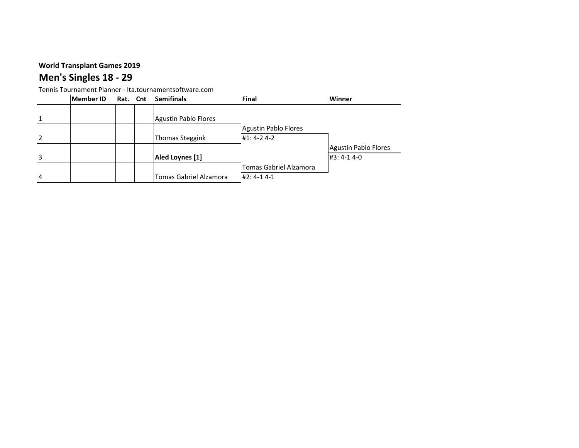# **Men's Singles 18 - 29**

|               | <b>Member ID</b> | Rat. Cnt | <b>Semifinals</b>             | Final                       | Winner                      |
|---------------|------------------|----------|-------------------------------|-----------------------------|-----------------------------|
|               |                  |          |                               |                             |                             |
|               |                  |          | <b>Agustin Pablo Flores</b>   |                             |                             |
|               |                  |          |                               | <b>Agustin Pablo Flores</b> |                             |
| $\mathcal{L}$ |                  |          | <b>Thomas Steggink</b>        | $#1: 4-2 4-2$               |                             |
|               |                  |          |                               |                             | <b>Agustin Pablo Flores</b> |
|               |                  |          | Aled Loynes [1]               |                             | $#3: 4-1 4-0$               |
|               |                  |          |                               | Tomas Gabriel Alzamora      |                             |
| 4             |                  |          | <b>Tomas Gabriel Alzamora</b> | $#2: 4-1 4-1$               |                             |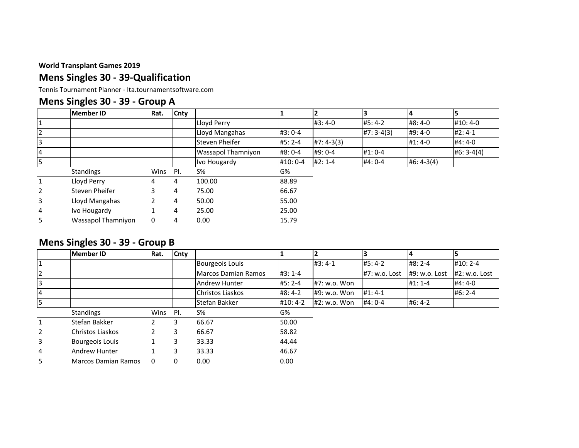### **Mens Singles 30 - 39-Qualification**

Tennis Tournament Planner - lta.tournamentsoftware.com

# **Mens Singles 30 - 39 - Group A**

|                | <b>Member ID</b>   | Rat. | <b>Cnty</b> |                    |         |              |             |              |              |
|----------------|--------------------|------|-------------|--------------------|---------|--------------|-------------|--------------|--------------|
|                |                    |      |             | Lloyd Perry        |         | #3:4-0       | $#5:4-2$    | #8:4-0       | #10:4-0      |
| $\overline{2}$ |                    |      |             | Lloyd Mangahas     | #3:0-4  |              | $#7:3-4(3)$ | #9:4-0       | $#2: 4-1$    |
| 3              |                    |      |             | Steven Pheifer     | #5: 2-4 | $#7: 4-3(3)$ |             | #1:4-0       | $#4:4-0$     |
| $\overline{4}$ |                    |      |             | Wassapol Thamniyon | #8: 0-4 | #9: 0-4      | $#1: 0-4$   |              | $#6: 3-4(4)$ |
| 5              |                    |      |             | Ivo Hougardy       | #10:0-4 | $#2:1-4$     | #4: 0-4     | $#6: 4-3(4)$ |              |
|                | Standings          | Wins | PI.         | $S\%$              | G%      |              |             |              |              |
| 1              | Lloyd Perry        | 4    | 4           | 100.00             | 88.89   |              |             |              |              |
| $\overline{2}$ | Steven Pheifer     | 3.   | 4           | 75.00              | 66.67   |              |             |              |              |
| 3              | Lloyd Mangahas     |      | 4           | 50.00              | 55.00   |              |             |              |              |
| 4              | Ivo Hougardy       |      | 4           | 25.00              | 25.00   |              |             |              |              |
| 5              | Wassapol Thamniyon | 0    | 4           | 0.00               | 15.79   |              |             |              |              |

### **Mens Singles 30 - 39 - Group B**

|                | <b>Member ID</b>           | Rat. | Cnty |                            |          |              |               |               |                 |
|----------------|----------------------------|------|------|----------------------------|----------|--------------|---------------|---------------|-----------------|
|                |                            |      |      | <b>Bourgeois Louis</b>     |          | $#3:4-1$     | $#5:4-2$      | $#8:2-4$      | $#10:2-4$       |
| 12             |                            |      |      | <b>Marcos Damian Ramos</b> | $#3:1-4$ |              | #7: w.o. Lost | #9: w.o. Lost | $#2: w.o.$ Lost |
| 3              |                            |      |      | Andrew Hunter              | #5: 2-4  | #7: w.o. Won |               | $#1:1-4$      | #4:4-0          |
| 14             |                            |      |      | Christos Liaskos           | #8:4-2   | #9: w.o. Won | $#1: 4-1$     |               | $#6:2-4$        |
| 5              |                            |      |      | Stefan Bakker              | #10:4-2  | #2: w.o. Won | #4: 0-4       | $#6:4-2$      |                 |
|                | Standings                  | Wins | PI.  | $S\%$                      | G%       |              |               |               |                 |
| $\mathbf{1}$   | Stefan Bakker              |      | 3    | 66.67                      | 50.00    |              |               |               |                 |
| $\overline{2}$ | Christos Liaskos           |      | 3    | 66.67                      | 58.82    |              |               |               |                 |
| 3              | Bourgeois Louis            |      | 3    | 33.33                      | 44.44    |              |               |               |                 |
| 4              | Andrew Hunter              |      | 3    | 33.33                      | 46.67    |              |               |               |                 |
| 5              | <b>Marcos Damian Ramos</b> | 0    | 0    | 0.00                       | 0.00     |              |               |               |                 |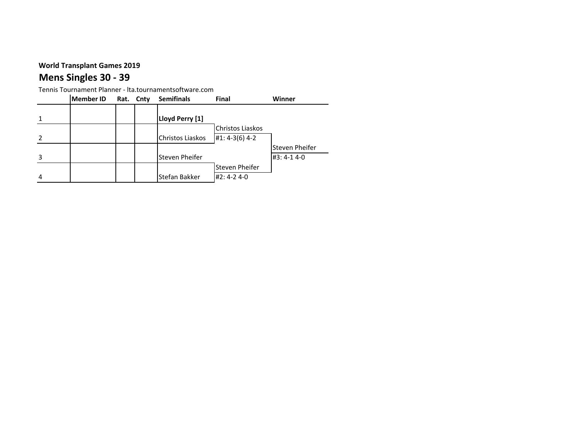# **Mens Singles 30 - 39**

|   | <b>Member ID</b> | Rat. Cnty | <b>Semifinals</b> | Final            | Winner         |
|---|------------------|-----------|-------------------|------------------|----------------|
|   |                  |           |                   |                  |                |
|   |                  |           | Lloyd Perry [1]   |                  |                |
|   |                  |           |                   | Christos Liaskos |                |
|   |                  |           | Christos Liaskos  | $#1: 4-3(6)$ 4-2 |                |
|   |                  |           |                   |                  | Steven Pheifer |
|   |                  |           | Steven Pheifer    |                  | #3:4-14-0      |
|   |                  |           |                   | Steven Pheifer   |                |
| 4 |                  |           | Stefan Bakker     | #2:4-24-0        |                |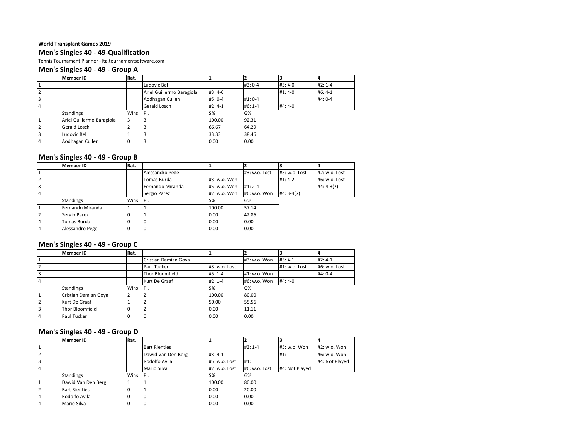#### **Men's Singles 40 - 49-Qualification**

Tennis Tournament Planner - lta.tournamentsoftware.com

#### **Men's Singles 40 - 49 - Group A**

|    | <b>Member ID</b>          | Rat. |                           |           |           |          |          |
|----|---------------------------|------|---------------------------|-----------|-----------|----------|----------|
|    |                           |      | Ludovic Bel               |           | #3: 0-4   | #5:4-0   | $#2:1-4$ |
| 2  |                           |      | Ariel Guillermo Baragiola | #3:4-0    |           | $#1:4-0$ | #6: 4-1  |
| l3 |                           |      | Aodhagan Cullen           | #5: 0-4   | $#1: 0-4$ |          | #4: 0-4  |
| 14 |                           |      | Gerald Losch              | $#2: 4-1$ | $#6: 1-4$ | #4:4-0   |          |
|    | <b>Standings</b>          | Wins | PI.                       | S%        | G%        |          |          |
| 1  | Ariel Guillermo Baragiola | 3    |                           | 100.00    | 92.31     |          |          |
| 2  | Gerald Losch              |      |                           | 66.67     | 64.29     |          |          |
| 3  | Ludovic Bel               |      |                           | 33.33     | 38.46     |          |          |
| 4  | Aodhagan Cullen           |      |                           | 0.00      | 0.00      |          |          |

#### **Men's Singles 40 - 49 - Group B**

| <b>Member ID</b> | Rat. |                  |              |               |               |               |
|------------------|------|------------------|--------------|---------------|---------------|---------------|
|                  |      | Alessandro Pege  |              | #3: w.o. Lost | #5: w.o. Lost | #2: w.o. Lost |
|                  |      | Tomas Burda      | #3: w.o. Won |               | $#1: 4-2$     | #6: w.o. Lost |
|                  |      | Fernando Miranda | #5: w.o. Won | $#1: 2-4$     |               | $#4: 4-3(7)$  |
|                  |      | Sergio Parez     | #2: w.o. Won | #6: w.o. Won  | $#4:3-4(7)$   |               |
| Standings        |      |                  | S%           | G%            |               |               |
| Fernando Miranda |      |                  | 100.00       | 57.14         |               |               |
| Sergio Parez     |      |                  | 0.00         | 42.86         |               |               |
| Tomas Burda      |      | 0                | 0.00         | 0.00          |               |               |
| Alessandro Pege  |      |                  | 0.00         | 0.00          |               |               |
|                  |      |                  | Wins Pl.     |               |               |               |

#### **Men's Singles 40 - 49 - Group C**

|                | <b>Member ID</b>     | Rat. |                      |               |              |               |               |
|----------------|----------------------|------|----------------------|---------------|--------------|---------------|---------------|
|                |                      |      | Cristian Damian Goya |               | #3: w.o. Won | #5:4-1        | $#2: 4-1$     |
| 2              |                      |      | Paul Tucker          | #3: w.o. Lost |              | #1: w.o. Lost | #6: w.o. Lost |
| 13             |                      |      | Thor Bloomfield      | $#5:1-4$      | #1: w.o. Won |               | #4: 0-4       |
| 14             |                      |      | Kurt De Graaf        | $#2: 1-4$     | #6: w.o. Won | $#4:4-0$      |               |
|                | <b>Standings</b>     | Wins | - Pl.                | $S\%$         | G%           |               |               |
| 1              | Cristian Damian Goya |      |                      | 100.00        | 80.00        |               |               |
| $\overline{2}$ | Kurt De Graaf        |      |                      | 50.00         | 55.56        |               |               |
| 3              | Thor Bloomfield      |      |                      | 0.00          | 11.11        |               |               |
| 4              | Paul Tucker          |      |                      | 0.00          | 0.00         |               |               |

#### **Men's Singles 40 - 49 - Group D**

|   | <b>Member ID</b>     | Rat. |                      |               |                 |                |                |
|---|----------------------|------|----------------------|---------------|-----------------|----------------|----------------|
|   |                      |      | <b>Bart Rienties</b> |               | $#3:1-4$        | #5: w.o. Won   | #2: w.o. Won   |
|   |                      |      | Dawid Van Den Berg   | $#3:4-1$      |                 | #1:            | #6: w.o. Won   |
|   |                      |      | Rodolfo Avila        | #5: w.o. Lost | #1.             |                | #4: Not Played |
|   |                      |      | Mario Silva          | #2: w.o. Lost | $#6: w.o.$ Lost | #4: Not Played |                |
|   | <b>Standings</b>     | Wins | PI.                  | S%            | G%              |                |                |
|   | Dawid Van Den Berg   |      |                      | 100.00        | 80.00           |                |                |
| 2 | <b>Bart Rienties</b> | 0    |                      | 0.00          | 20.00           |                |                |
| 4 | Rodolfo Avila        | 0    |                      | 0.00          | 0.00            |                |                |
| 4 | Mario Silva          | 0    |                      | 0.00          | 0.00            |                |                |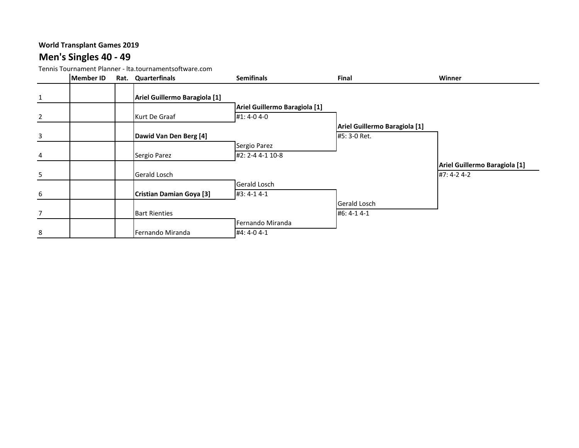### **Men's Singles 40 - 49**

|                | <b>Member ID</b> | Rat. | Quarterfinals                 | <b>Semifinals</b>             | Final                         | Winner                        |
|----------------|------------------|------|-------------------------------|-------------------------------|-------------------------------|-------------------------------|
| $\mathbf{1}$   |                  |      | Ariel Guillermo Baragiola [1] |                               |                               |                               |
|                |                  |      |                               | Ariel Guillermo Baragiola [1] |                               |                               |
| $\overline{2}$ |                  |      | Kurt De Graaf                 | #1:4-04-0                     |                               |                               |
|                |                  |      |                               |                               | Ariel Guillermo Baragiola [1] |                               |
| $\mathbf{3}$   |                  |      | Dawid Van Den Berg [4]        |                               | #5: 3-0 Ret.                  |                               |
|                |                  |      |                               | Sergio Parez                  |                               |                               |
| 4              |                  |      | Sergio Parez                  | #2: 2-4 4-1 10-8              |                               |                               |
|                |                  |      |                               |                               |                               | Ariel Guillermo Baragiola [1] |
| 5              |                  |      | Gerald Losch                  |                               |                               | #7: 4-2 4-2                   |
|                |                  |      |                               | Gerald Losch                  |                               |                               |
| 6              |                  |      | Cristian Damian Goya [3]      | #3: 4-1 4-1                   |                               |                               |
|                |                  |      |                               |                               | Gerald Losch                  |                               |
| $\overline{7}$ |                  |      | <b>Bart Rienties</b>          |                               | #6: 4-1 4-1                   |                               |
|                |                  |      |                               | Fernando Miranda              |                               |                               |
| 8              |                  |      | Fernando Miranda              | #4: 4-0 4-1                   |                               |                               |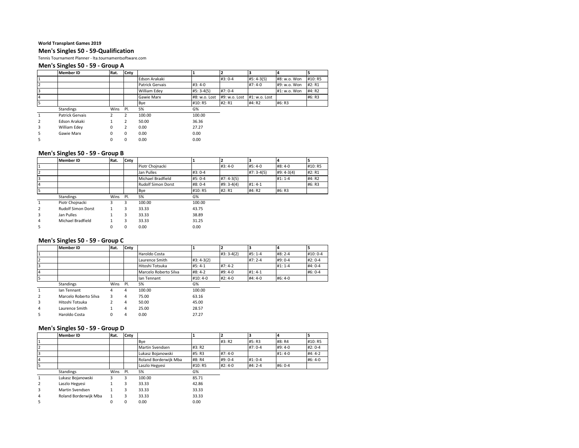#### **Men's Singles 50 - 59-Qualification**

Tennis Tournament Planner - lta.tournamentsoftware.com

#### **Men's Singles 50 - 59 - Group A**

|                | <b>Member ID</b> | Rat. | Cnty     |                 |               |               |               | $\mathsf{I}4$ |         |
|----------------|------------------|------|----------|-----------------|---------------|---------------|---------------|---------------|---------|
|                |                  |      |          | Edson Arakaki   |               | #3: 0-4       | $#5: 4-3(5)$  | #8: w.o. Won  | #10: R5 |
| $\overline{2}$ |                  |      |          | Patrick Gervais | $#3:4-0$      |               | $#7:4-0$      | #9: w.o. Won  | #2: R1  |
| 3              |                  |      |          | William Edey    | $#5: 3-4(5)$  | $#7:0-4$      |               | #1: w.o. Won  | #4: R2  |
| 14             |                  |      |          | Gawie Marx      | #8: w.o. Lost | #9: w.o. Lost | #1: w.o. Lost |               | #6: R3  |
| 5              |                  |      |          | Bye             | #10: R5       | #2: R1        | #4: R2        | #6: R3        |         |
|                | Standings        | Wins | PI.      | $S\%$           | G%            |               |               |               |         |
| $\mathbf{1}$   | Patrick Gervais  |      | 2        | 100.00          | 100.00        |               |               |               |         |
| $\overline{2}$ | Edson Arakaki    |      | 2        | 50.00           | 36.36         |               |               |               |         |
| 3              | William Edev     | 0    | 2        | 0.00            | 27.27         |               |               |               |         |
| 5.             | Gawie Marx       | 0    | $\Omega$ | 0.00            | 0.00          |               |               |               |         |
| 5              |                  | 0    | $\Omega$ | 0.00            | 0.00          |               |               |               |         |

#### **Men's Singles 50 - 59 - Group B**

|                | <b>Member ID</b>          | Rat. | Cnty |                           |          |              |             | 4           | 5       |
|----------------|---------------------------|------|------|---------------------------|----------|--------------|-------------|-------------|---------|
|                |                           |      |      | Piotr Chojnacki           |          | $#3:4-0$     | #5:4-0      | #8:4-0      | #10: R5 |
|                |                           |      |      | Jan Pulles                | $#3:0-4$ |              | $#7:3-4(5)$ | #9: 4-3(4)  | #2: R1  |
|                |                           |      |      | Michael Bradfield         | #5: 0-4  | $#7: 4-3(5)$ |             | $#1: 1 - 4$ | #4: R2  |
| $\overline{a}$ |                           |      |      | <b>Rudolf Simon Dorst</b> | #8: 0-4  | $#9: 3-4(4)$ | $#1: 4-1$   |             | #6: R3  |
| 5              |                           |      |      | Bye                       | #10: R5  | #2: R1       | #4: R2      | #6: R3      |         |
|                | <b>Standings</b>          | Wins | PI.  | $S\%$                     | G%       |              |             |             |         |
| 1              | Piotr Chojnacki           | 3    | 3    | 100.00                    | 100.00   |              |             |             |         |
| $\overline{2}$ | <b>Rudolf Simon Dorst</b> |      | 3    | 33.33                     | 43.75    |              |             |             |         |
| 3              | Jan Pulles                |      | 3    | 33.33                     | 38.89    |              |             |             |         |
| 4              | Michael Bradfield         |      | 3    | 33.33                     | 31.25    |              |             |             |         |
| 5              |                           |      | 0    | 0.00                      | 0.00     |              |             |             |         |

#### **Men's Singles 50 - 59 - Group C**

|                | <b>Member ID</b>      | Rat. | Cnty |                       |              |             |           |           |          |
|----------------|-----------------------|------|------|-----------------------|--------------|-------------|-----------|-----------|----------|
|                |                       |      |      | Haroldo Costa         |              | $#3:3-4(2)$ | $#5:1-4$  | #8: 2-4   | #10: 0-4 |
|                |                       |      |      | Laurence Smith        | $#3: 4-3(2)$ |             | $#7:2-4$  | #9: 0-4   | $#2:0-4$ |
| 3              |                       |      |      | Hitoshi Totsuka       | $#5: 4-1$    | $#7:4-2$    |           | $#1: 1-4$ | #4: 0-4  |
| 4              |                       |      |      | Marcelo Roberto Silva | $#8:4-2$     | #9:4-0      | $#1: 4-1$ |           | #6: 0-4  |
| 5              |                       |      |      | Ian Tennant           | #10:4-0      | $#2:4-0$    | #4:4-0    | #6:4-0    |          |
|                | Standings             | Wins | PI.  | $S\%$                 | G%           |             |           |           |          |
| $\mathbf{1}$   | lan Tennant           | 4    | 4    | 100.00                | 100.00       |             |           |           |          |
| $\overline{2}$ | Marcelo Roberto Silva | 3    | 4    | 75.00                 | 63.16        |             |           |           |          |
| 3              | Hitoshi Totsuka       |      | 4    | 50.00                 | 45.00        |             |           |           |          |
| 4              | Laurence Smith        |      | 4    | 25.00                 | 28.57        |             |           |           |          |
| 5              | Haroldo Costa         | 0    | 4    | 0.00                  | 27.27        |             |           |           |          |

#### **Men's Singles 50 - 59 - Group D**

|                | <b>Member ID</b>      | Rat. | <b>Cnty</b> |                        |         |           | 13        |           |          |
|----------------|-----------------------|------|-------------|------------------------|---------|-----------|-----------|-----------|----------|
|                |                       |      |             | Bye                    |         | #3: R2    | #5: R3    | #8: R4    | #10: R5  |
|                |                       |      |             | <b>Martin Svendsen</b> | #3: R2  |           | #7: 0-4   | #9:4-0    | $#2:0-4$ |
|                |                       |      |             | Lukasz Bojanowski      | #5: R3  | #7:4-0    |           | $#1: 4-0$ | $#4:4-2$ |
|                |                       |      |             | Roland Borderwijk Mba  | #8: R4  | #9: 0-4   | $#1: 0-4$ |           | #6:4-0   |
|                |                       |      |             | Laszlo Hegyesi         | #10: R5 | $#2: 4-0$ | $#4:2-4$  | #6: 0-4   |          |
|                | Standings             | Wins | PI.         | $S\%$                  | G%      |           |           |           |          |
|                | Lukasz Bojanowski     | 3    | 3           | 100.00                 | 85.71   |           |           |           |          |
| $\overline{2}$ | Laszlo Hegyesi        |      | 3           | 33.33                  | 42.86   |           |           |           |          |
| 3              | Martin Svendsen       |      | 3           | 33.33                  | 33.33   |           |           |           |          |
| 4              | Roland Borderwijk Mba |      | 3           | 33.33                  | 33.33   |           |           |           |          |
| 5              |                       | 0    | 0           | 0.00                   | 0.00    |           |           |           |          |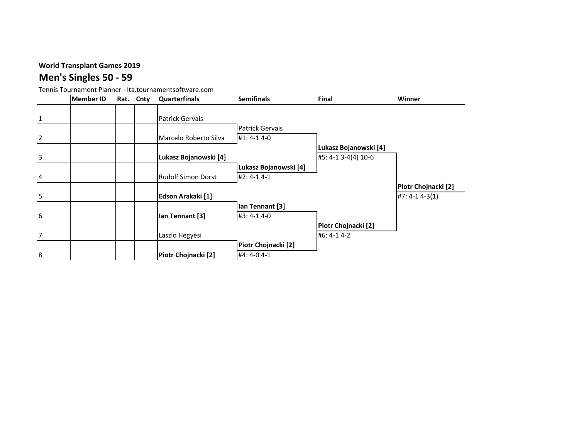# **Men's Singles 50 - 59**

|                | Member ID | Rat. Cnty | <b>Quarterfinals</b>   | <b>Semifinals</b>      | Final                 | Winner              |
|----------------|-----------|-----------|------------------------|------------------------|-----------------------|---------------------|
| $\mathbf{1}$   |           |           | <b>Patrick Gervais</b> |                        |                       |                     |
|                |           |           |                        | <b>Patrick Gervais</b> |                       |                     |
| $\overline{2}$ |           |           | Marcelo Roberto Silva  | #1: 4-1 4-0            |                       |                     |
|                |           |           |                        |                        | Lukasz Bojanowski [4] |                     |
| $\overline{3}$ |           |           | Lukasz Bojanowski [4]  |                        | #5: 4-1 3-4(4) 10-6   |                     |
|                |           |           |                        | Lukasz Bojanowski [4]  |                       |                     |
| 4              |           |           | Rudolf Simon Dorst     | $#2: 4-1 4-1$          |                       |                     |
|                |           |           |                        |                        |                       | Piotr Chojnacki [2] |
| 5              |           |           | Edson Arakaki [1]      |                        |                       | $#7: 4-1 4-3(1)$    |
|                |           |           |                        | lan Tennant [3]        |                       |                     |
| 6              |           |           | Ian Tennant [3]        | #3: 4-1 4-0            |                       |                     |
|                |           |           |                        |                        | Piotr Chojnacki [2]   |                     |
| $7^{\circ}$    |           |           | Laszlo Hegyesi         |                        | #6: 4-1 4-2           |                     |
|                |           |           |                        | Piotr Chojnacki [2]    |                       |                     |
| 8              |           |           | Piotr Chojnacki [2]    | #4: 4-0 4-1            |                       |                     |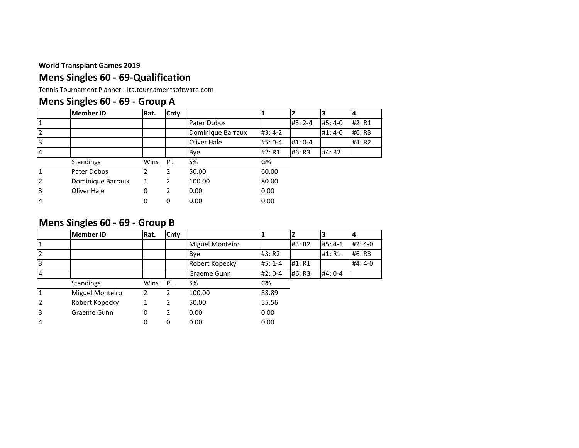### **Mens Singles 60 - 69-Qualification**

Tennis Tournament Planner - lta.tournamentsoftware.com

# **Mens Singles 60 - 69 - Group A**

|   | <b>Member ID</b>  | Rat. | Cnty           |                   |         |         | 3        |        |
|---|-------------------|------|----------------|-------------------|---------|---------|----------|--------|
|   |                   |      |                | Pater Dobos       |         | #3: 2-4 | #5:4-0   | #2: R1 |
|   |                   |      |                | Dominique Barraux | #3:4-2  |         | $#1:4-0$ | #6: R3 |
|   |                   |      |                | Oliver Hale       | #5: 0-4 | #1:0-4  |          | #4: R2 |
|   |                   |      |                | Bye               | #2: R1  | #6: R3  | #4: R2   |        |
|   | <b>Standings</b>  | Wins | PI.            | $S\%$             | G%      |         |          |        |
|   | Pater Dobos       | 2    | 2              | 50.00             | 60.00   |         |          |        |
| 2 | Dominique Barraux |      | $\overline{2}$ | 100.00            | 80.00   |         |          |        |
| 3 | Oliver Hale       | 0    | 2              | 0.00              | 0.00    |         |          |        |
| 4 |                   | 0    | 0              | 0.00              | 0.00    |         |          |        |

### **Mens Singles 60 - 69 - Group B**

|   | <b>Member ID</b> | Rat. | Cnty           |                 |           |        | 3        | 4        |
|---|------------------|------|----------------|-----------------|-----------|--------|----------|----------|
|   |                  |      |                | Miguel Monteiro |           | #3: R2 | $#5:4-1$ | $#2:4-0$ |
|   |                  |      |                | Bye             | #3: R2    |        | #1: R1   | #6: R3   |
|   |                  |      |                | Robert Kopecky  | $#5:1 -4$ | #1: R1 |          | #4: 4-0  |
|   |                  |      |                | Graeme Gunn     | $#2:0-4$  | #6: R3 | #4: 0-4  |          |
|   | <b>Standings</b> | Wins | PI.            | <b>S%</b>       | G%        |        |          |          |
|   | Miguel Monteiro  | 2    | 2              | 100.00          | 88.89     |        |          |          |
|   | Robert Kopecky   |      | $\overline{2}$ | 50.00           | 55.56     |        |          |          |
| 3 | Graeme Gunn      | 0    | 2              | 0.00            | 0.00      |        |          |          |
| 4 |                  | 0    | 0              | 0.00            | 0.00      |        |          |          |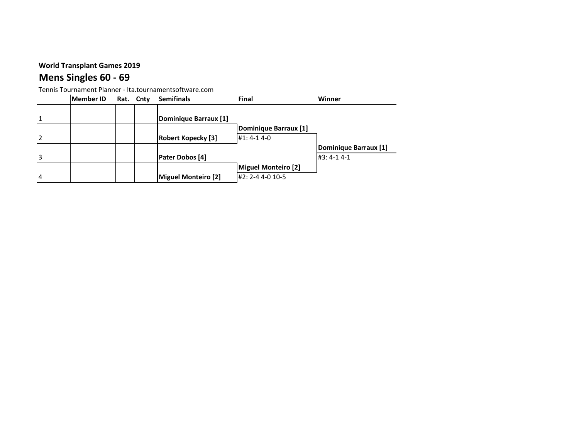# **Mens Singles 60 - 69**

|                | Member ID | Rat. Cnty | <b>Semifinals</b>         | Final                      | Winner                |
|----------------|-----------|-----------|---------------------------|----------------------------|-----------------------|
|                |           |           |                           |                            |                       |
| 1              |           |           | Dominique Barraux [1]     |                            |                       |
|                |           |           |                           | Dominique Barraux [1]      |                       |
| $\mathcal{L}$  |           |           | <b>Robert Kopecky [3]</b> | $#1: 4-1 4-0$              |                       |
|                |           |           |                           |                            | Dominique Barraux [1] |
| 3              |           |           | <b>Pater Dobos [4]</b>    |                            | $#3: 4-1 4-1$         |
|                |           |           |                           | <b>Miguel Monteiro [2]</b> |                       |
| $\overline{4}$ |           |           | Miguel Monteiro [2]       | #2: 2-4 4-0 10-5           |                       |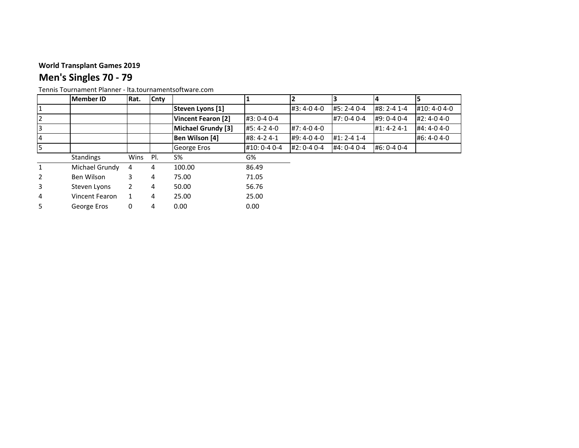# **Men's Singles 70 - 79**

|                | <b>Member ID</b> | Rat. | Cnty |                           |              |             |                   |               |               |
|----------------|------------------|------|------|---------------------------|--------------|-------------|-------------------|---------------|---------------|
|                |                  |      |      | Steven Lyons [1]          |              | #3:4-04-0   | #5: 2-4 0-4       | #8: 2-4 1-4   | #10: 4-0 4-0  |
|                |                  |      |      | <b>Vincent Fearon [2]</b> | #3: 0-4 0-4  |             | $#7: 0-4 0-4$     | #9: 0-4 0-4   | $#2: 4-0 4-0$ |
|                |                  |      |      | Michael Grundy [3]        | #5: 4-2 4-0  | #7: 4-0 4-0 |                   | $#1: 4-2 4-1$ | #4: 4-0 4-0   |
| <b>4</b>       |                  |      |      | Ben Wilson [4]            | #8: 4-2 4-1  | #9: 4-0 4-0 | $#1: 2 - 4 1 - 4$ |               | #6:4-04-0     |
|                |                  |      |      | George Eros               | #10: 0-4 0-4 | #2: 0-4 0-4 | #4: 0-4 0-4       | #6: 0-4 0-4   |               |
|                | <b>Standings</b> | Wins | PI.  | <b>S%</b>                 | G%           |             |                   |               |               |
|                | Michael Grundy   | 4    | 4    | 100.00                    | 86.49        |             |                   |               |               |
| $\overline{2}$ | Ben Wilson       | 3    | 4    | 75.00                     | 71.05        |             |                   |               |               |
| 3              | Steven Lyons     | 2    | 4    | 50.00                     | 56.76        |             |                   |               |               |
| 4              | Vincent Fearon   |      | 4    | 25.00                     | 25.00        |             |                   |               |               |
| 5.             | George Eros      | 0    | 4    | 0.00                      | 0.00         |             |                   |               |               |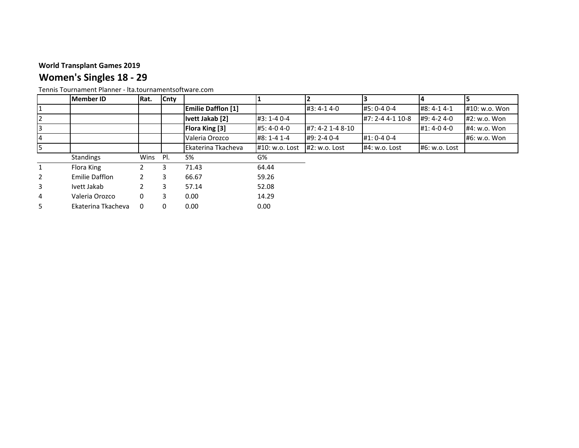# **Women's Singles 18 - 29**

|                | <b>Member ID</b>      | Rat. | Cnty |                           |                |                   |                  | 14            |                |
|----------------|-----------------------|------|------|---------------------------|----------------|-------------------|------------------|---------------|----------------|
|                |                       |      |      | <b>Emilie Dafflon [1]</b> |                | #3:4-14-0         | #5: 0-4 0-4      | #8: 4-1 4-1   | #10: w.o. Won  |
| $\overline{2}$ |                       |      |      | Ivett Jakab [2]           | #3: 1-4 0-4    |                   | #7: 2-4 4-1 10-8 | $#9: 4-2 4-0$ | $#2: w.o.$ Won |
| 3              |                       |      |      | <b>Flora King [3]</b>     | #5:4-04-0      | #7: 4-2 1-4 8-10  |                  | #1:4-04-0     | $#4: w.o.$ Won |
| $\overline{4}$ |                       |      |      | Valeria Orozco            | #8: 1-4 1-4    | $#9: 2 - 4 0 - 4$ | $#1: 0-4 0-4$    |               | #6: w.o. Won   |
| 5              |                       |      |      | Ekaterina Tkacheva        | #10: w.o. Lost | $#2: w.o.$ Lost   | $#4: w.o.$ Lost  | #6: w.o. Lost |                |
|                | <b>Standings</b>      | Wins | PI.  | S%                        | G%             |                   |                  |               |                |
| $\mathbf{1}$   | Flora King            |      |      |                           |                |                   |                  |               |                |
|                |                       |      | 3    | 71.43                     | 64.44          |                   |                  |               |                |
| 2              | <b>Emilie Dafflon</b> |      | 3    | 66.67                     | 59.26          |                   |                  |               |                |
| 3              | Ivett Jakab           |      | 3.   | 57.14                     | 52.08          |                   |                  |               |                |
| 4              | Valeria Orozco        | 0    | 3    | 0.00                      | 14.29          |                   |                  |               |                |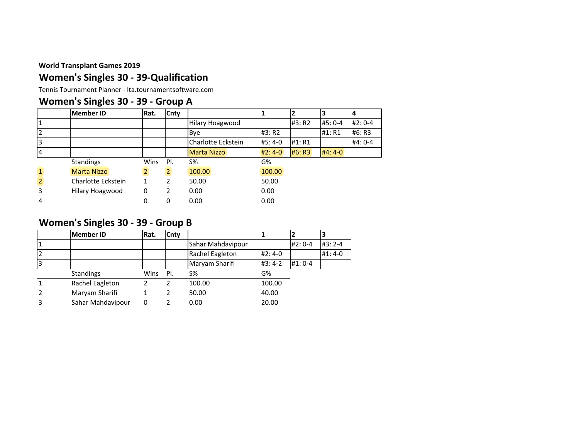### **Women's Singles 30 - 39-Qualification**

Tennis Tournament Planner - lta.tournamentsoftware.com

### **Women's Singles 30 - 39 - Group A**

|                | <b>Member ID</b>   | Rat. | <b>Cnty</b>    |                    |          |        |          |         |
|----------------|--------------------|------|----------------|--------------------|----------|--------|----------|---------|
|                |                    |      |                | Hilary Hoagwood    |          | #3: R2 | #5: 0-4  | #2: 0-4 |
|                |                    |      |                | Bye                | #3: R2   |        | #1: R1   | #6: R3  |
|                |                    |      |                | Charlotte Eckstein | $#5:4-0$ | #1: R1 |          | #4: 0-4 |
| 14             |                    |      |                | Marta Nizzo        | $#2:4-0$ | #6: R3 | $H4:4-0$ |         |
|                | <b>Standings</b>   | Wins | PI.            | S%                 | G%       |        |          |         |
|                | Marta Nizzo        |      | $\overline{2}$ | 100.00             | 100.00   |        |          |         |
| $\overline{2}$ | Charlotte Eckstein |      | 2              | 50.00              | 50.00    |        |          |         |
| 3              | Hilary Hoagwood    | 0    | 2              | 0.00               | 0.00     |        |          |         |
| 4              |                    | 0    | 0              | 0.00               | 0.00     |        |          |         |

### **Women's Singles 30 - 39 - Group B**

|    | <b>Member ID</b>  | Rat. | Cnty |                   |          |           | 3        |
|----|-------------------|------|------|-------------------|----------|-----------|----------|
| '1 |                   |      |      | Sahar Mahdavipour |          | #2: 0-4   | $#3:2-4$ |
| 12 |                   |      |      | Rachel Eagleton   | $#2:4-0$ |           | $#1:4-0$ |
| 3  |                   |      |      | Maryam Sharifi    | $#3:4-2$ | $#1: 0-4$ |          |
|    | <b>Standings</b>  | Wins | PI.  | S%                | G%       |           |          |
| 1  | Rachel Eagleton   |      | 2    | 100.00            | 100.00   |           |          |
| 2  | Maryam Sharifi    |      | 2    | 50.00             | 40.00    |           |          |
|    | Sahar Mahdavipour | ი    |      | 0.00              | 20.00    |           |          |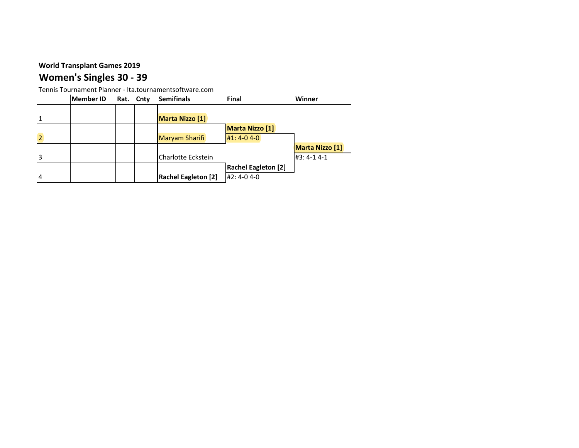# **Women's Singles 30 - 39**

|   | Member ID | Rat. Cnty | <b>Semifinals</b>          | Final                      | Winner                 |
|---|-----------|-----------|----------------------------|----------------------------|------------------------|
|   |           |           |                            |                            |                        |
|   |           |           | <b>Marta Nizzo [1]</b>     |                            |                        |
|   |           |           |                            | <b>Marta Nizzo [1]</b>     |                        |
|   |           |           | <b>Maryam Sharifi</b>      | $#1: 4-0 4-0$              |                        |
|   |           |           |                            |                            | <b>Marta Nizzo</b> [1] |
|   |           |           | Charlotte Eckstein         |                            | $#3: 4-1 4-1$          |
|   |           |           |                            | <b>Rachel Eagleton [2]</b> |                        |
| 4 |           |           | <b>Rachel Eagleton [2]</b> | #2:4-04-0                  |                        |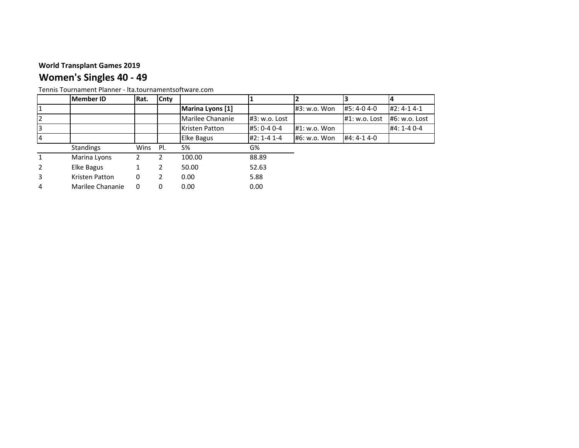# **Women's Singles 40 - 49**

|   | Member ID        | Rat. | Cnty |                               |                   |              |               |               |
|---|------------------|------|------|-------------------------------|-------------------|--------------|---------------|---------------|
|   |                  |      |      | Marina Lyons [1]              |                   | #3: w.o. Won | #5:4-04-0     | $#2: 4-1 4-1$ |
|   |                  |      |      | Marilee Chananie              | #3: w.o. Lost     |              | #1: w.o. Lost | #6: w.o. Lost |
|   |                  |      |      | #5: 0-4 0-4<br>Kristen Patton |                   | #1: w.o. Won |               | #4: 1-4 0-4   |
|   |                  |      |      | <b>Elke Bagus</b>             | $#2: 1 - 4 1 - 4$ | #6: w.o. Won | #4: 4-1 4-0   |               |
|   | <b>Standings</b> | Wins | PI.  | $S\%$                         | G%                |              |               |               |
|   | Marina Lyons     | 2    | 2    | 100.00                        | 88.89             |              |               |               |
|   | Elke Bagus       |      |      | 50.00                         | 52.63             |              |               |               |
| 3 | Kristen Patton   | 0    | 2    | 0.00                          | 5.88              |              |               |               |
| 4 | Marilee Chananie | 0    | 0    | 0.00                          | 0.00              |              |               |               |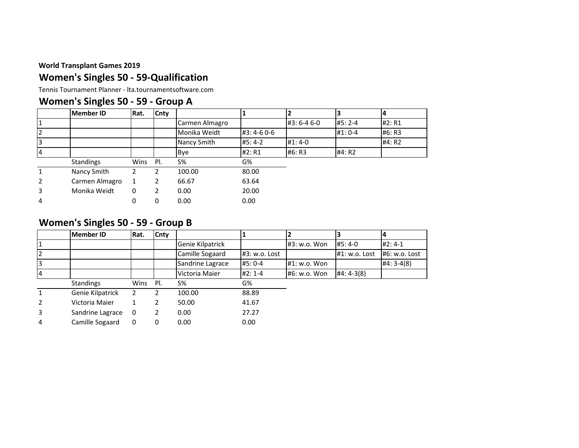### **Women's Singles 50 - 59-Qualification**

Tennis Tournament Planner - lta.tournamentsoftware.com

### **Women's Singles 50 - 59 - Group A**

|                | <b>Member ID</b> | Rat.          | Cnty |                |           |             |           | 14     |
|----------------|------------------|---------------|------|----------------|-----------|-------------|-----------|--------|
|                |                  |               |      | Carmen Almagro |           | #3: 6-4 6-0 | $#5:2-4$  | #2: R1 |
|                |                  |               |      | Monika Weidt   | #3:4-60-6 |             | $#1: 0-4$ | #6: R3 |
|                |                  |               |      | Nancy Smith    | $#5:4-2$  | $#1:4-0$    |           | #4: R2 |
| 4              |                  |               |      | Bye            | #2: R1    | #6: R3      | #4: R2    |        |
|                | Standings        | Wins          | PI.  | $S\%$          | G%        |             |           |        |
| $\mathbf{1}$   | Nancy Smith      | $\mathcal{P}$ | 2    | 100.00         | 80.00     |             |           |        |
| $\overline{2}$ | Carmen Almagro   |               |      | 66.67          | 63.64     |             |           |        |
| 3              | Monika Weidt     | 0             | 2    | 0.00           | 20.00     |             |           |        |
| 4              |                  | 0             | 0    | 0.00           | 0.00      |             |           |        |

### **Women's Singles 50 - 59 - Group B**

|                | <b>Member ID</b> | Rat.          | Cnty |                                  |          |              |               |               |
|----------------|------------------|---------------|------|----------------------------------|----------|--------------|---------------|---------------|
|                |                  |               |      | Genie Kilpatrick                 |          | #3: w.o. Won | #5:4-0        | $#2:4-1$      |
|                |                  |               |      | Camille Sogaard<br>#3: w.o. Lost |          |              | #1: w.o. Lost | #6: w.o. Lost |
| 3              |                  |               |      | Sandrine Lagrace<br>#5:0-4       |          | #1: w.o. Won |               | $#4:3-4(8)$   |
|                |                  |               |      | Victoria Maier                   | $#2:1-4$ | #6: w.o. Won | $#4: 4-3(8)$  |               |
|                | <b>Standings</b> | Wins          | PI.  | S%                               | G%       |              |               |               |
|                | Genie Kilpatrick | $\mathcal{P}$ |      | 100.00                           | 88.89    |              |               |               |
| $\overline{2}$ | Victoria Maier   |               |      | 50.00                            | 41.67    |              |               |               |
| 3              | Sandrine Lagrace | 0             | 2    | 0.00                             | 27.27    |              |               |               |
| 4              | Camille Sogaard  | 0             | 0    | 0.00                             | 0.00     |              |               |               |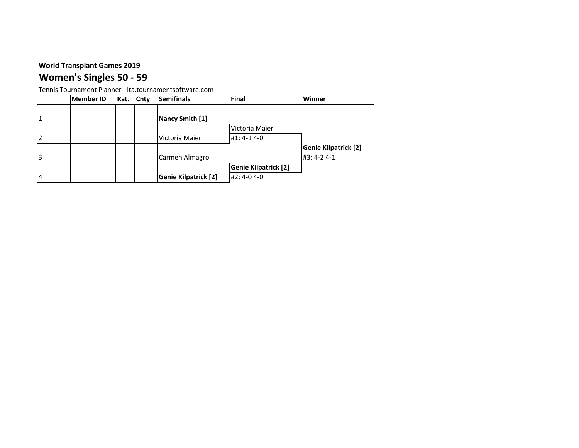# **Women's Singles 50 - 59**

|   | <b>Member ID</b> | Rat. Cnty | <b>Semifinals</b>           | Final                       | Winner                      |
|---|------------------|-----------|-----------------------------|-----------------------------|-----------------------------|
|   |                  |           |                             |                             |                             |
|   |                  |           | Nancy Smith [1]             |                             |                             |
|   |                  |           |                             | Victoria Maier              |                             |
|   |                  |           | Victoria Maier              | $#1: 4-1 4-0$               |                             |
|   |                  |           |                             |                             | <b>Genie Kilpatrick [2]</b> |
|   |                  |           | Carmen Almagro              |                             | #3:4-24-1                   |
|   |                  |           |                             | <b>Genie Kilpatrick [2]</b> |                             |
| 4 |                  |           | <b>Genie Kilpatrick [2]</b> | #2:4-04-0                   |                             |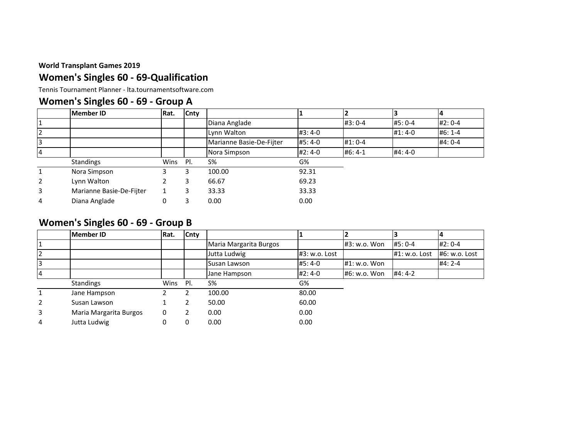### **Women's Singles 60 - 69-Qualification**

Tennis Tournament Planner - lta.tournamentsoftware.com

### **Women's Singles 60 - 69 - Group A**

|                | <b>Member ID</b>         | Rat. | Cnty |                          |          |           |          |          |
|----------------|--------------------------|------|------|--------------------------|----------|-----------|----------|----------|
|                |                          |      |      | Diana Anglade            |          | $#3:0-4$  | #5: 0-4  | $#2:0-4$ |
| $\overline{2}$ |                          |      |      | Lynn Walton              | $#3:4-0$ |           | $#1:4-0$ | $#6:1-4$ |
| 3              |                          |      |      | Marianne Basie-De-Fijter | $#5:4-0$ | $#1:0-4$  |          | $#4:0-4$ |
| 14             |                          |      |      | Nora Simpson             | $#2:4-0$ | $#6: 4-1$ | #4:4-0   |          |
|                | Standings                | Wins | PI.  | S%                       | G%       |           |          |          |
|                | Nora Simpson             |      |      | 100.00                   | 92.31    |           |          |          |
| 2              | Lynn Walton              |      |      | 66.67                    | 69.23    |           |          |          |
| 3              | Marianne Basie-De-Fijter |      |      | 33.33                    | 33.33    |           |          |          |
| 4              | Diana Anglade            | 0    |      | 0.00                     | 0.00     |           |          |          |

### **Women's Singles 60 - 69 - Group B**

|                | <b>Member ID</b>       | Rat. | Cnty |                        |               |                |               |               |
|----------------|------------------------|------|------|------------------------|---------------|----------------|---------------|---------------|
|                |                        |      |      | Maria Margarita Burgos |               | #3: w.o. Won   | #5: 0-4       | $#2:0-4$      |
|                |                        |      |      | Jutta Ludwig           | #3: w.o. Lost |                | #1: w.o. Lost | #6: w.o. Lost |
| 3              |                        |      |      | Susan Lawson           | #5:4-0        | $#1: w.o.$ Won |               | $#4:2-4$      |
| $\overline{4}$ |                        |      |      | Jane Hampson           | #2:4-0        | #6: w.o. Won   | <b>#4:4-2</b> |               |
|                | Standings              | Wins | PI.  | $S\%$                  | G%            |                |               |               |
|                | Jane Hampson           |      | า    | 100.00                 | 80.00         |                |               |               |
| $\overline{2}$ | Susan Lawson           |      |      | 50.00                  | 60.00         |                |               |               |
| 3              | Maria Margarita Burgos | 0    |      | 0.00                   | 0.00          |                |               |               |
| 4              | Jutta Ludwig           |      | 0    | 0.00                   | 0.00          |                |               |               |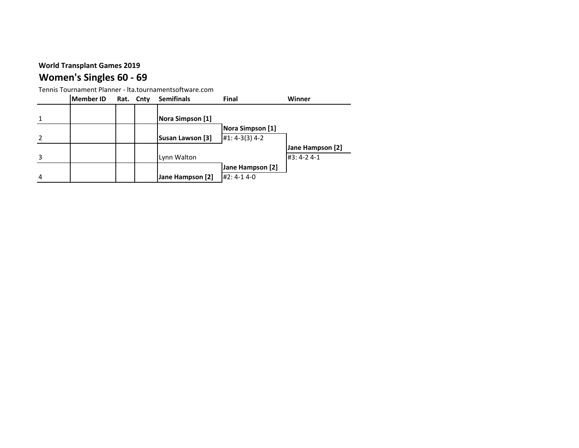# **Women's Singles 60 - 69**

|   | Member ID | Rat. Cnty | <b>Semifinals</b> | Final            | Winner           |
|---|-----------|-----------|-------------------|------------------|------------------|
|   |           |           |                   |                  |                  |
|   |           |           | Nora Simpson [1]  |                  |                  |
|   |           |           |                   | Nora Simpson [1] |                  |
|   |           |           | Susan Lawson [3]  | $#1: 4-3(3) 4-2$ |                  |
|   |           |           |                   |                  | Jane Hampson [2] |
|   |           |           | Lynn Walton       |                  | #3:4-24-1        |
|   |           |           |                   | Jane Hampson [2] |                  |
| 4 |           |           | Jane Hampson [2]  | $#2: 4-1 4-0$    |                  |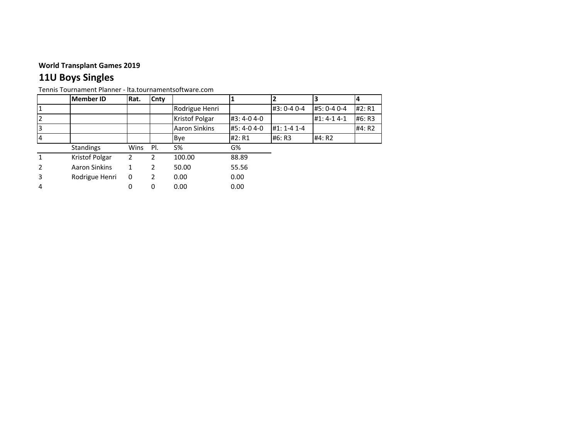# **11U Boys Singles**

|               | <b>Member ID</b> | Rat. | Cnty |                       |           |                   |             | 14     |
|---------------|------------------|------|------|-----------------------|-----------|-------------------|-------------|--------|
|               |                  |      |      | Rodrigue Henri        |           | #3: 0-4 0-4       | #5: 0-4 0-4 | #2: R1 |
|               |                  |      |      | <b>Kristof Polgar</b> | #3:4-04-0 |                   | #1:4-14-1   | #6: R3 |
|               |                  |      |      | <b>Aaron Sinkins</b>  | #5:4-04-0 | $#1: 1 - 4 1 - 4$ |             | #4: R2 |
| 14            |                  |      |      | Bye                   | #2: R1    | #6: R3            | #4: R2      |        |
|               | <b>Standings</b> | Wins | PI.  | S%                    | G%        |                   |             |        |
| 1             | Kristof Polgar   | 2    | 2    | 100.00                | 88.89     |                   |             |        |
| $\mathcal{P}$ | Aaron Sinkins    | 1    | 2    | 50.00                 | 55.56     |                   |             |        |
| 3             | Rodrigue Henri   | 0    | 2    | 0.00                  | 0.00      |                   |             |        |
| 4             |                  | 0    | 0    | 0.00                  | 0.00      |                   |             |        |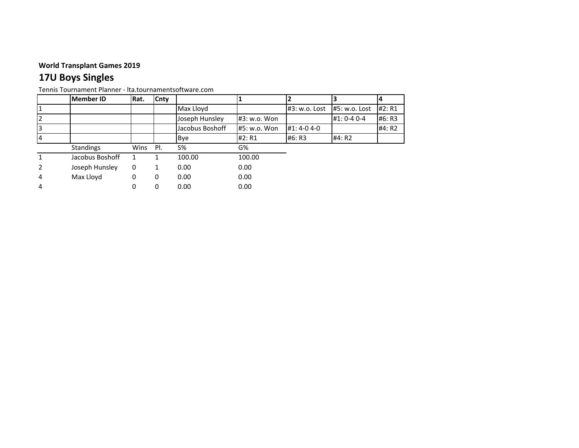# **17U Boys Singles**

|   | Member ID        | Rat. | Cnty |                 |              |               |               |        |
|---|------------------|------|------|-----------------|--------------|---------------|---------------|--------|
|   |                  |      |      | Max Lloyd       |              | #3: w.o. Lost | #5: w.o. Lost | #2: R1 |
|   |                  |      |      | Joseph Hunsley  | #3: w.o. Won |               | #1: 0-4 0-4   | #6: R3 |
|   |                  |      |      | Jacobus Boshoff | #5: w.o. Won | #1:4-04-0     |               | #4: R2 |
|   |                  |      |      | <b>Bye</b>      | #2: R1       | #6: R3        | #4: R2        |        |
|   | <b>Standings</b> | Wins | PI.  | <b>S%</b>       | G%           |               |               |        |
|   | Jacobus Boshoff  |      |      | 100.00          | 100.00       |               |               |        |
|   | Joseph Hunsley   | 0    |      | 0.00            | 0.00         |               |               |        |
| 4 | Max Lloyd        | 0    | 0    | 0.00            | 0.00         |               |               |        |
| 4 |                  | 0    | 0    | 0.00            | 0.00         |               |               |        |